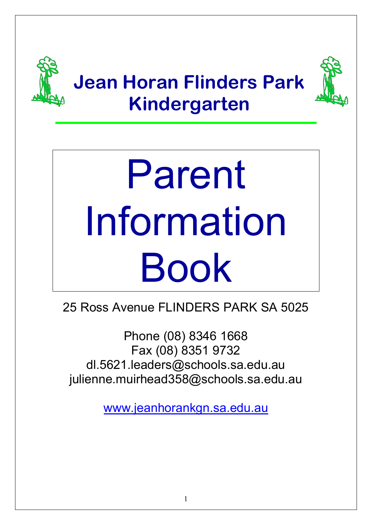

# Parent Information Book

25 Ross Avenue FLINDERS PARK SA 5025

Phone (08) 8346 1668 Fax (08) 8351 9732 dl.5621.leaders@schools.sa.edu.au [julienne.muirhead358@schools.sa.edu.au](mailto:kindy.director@jeanhorankgn.sa.edu.au)

[www.jeanhorankgn.sa.edu.au](http://www.jeanhorankgn.sa.edu.au/)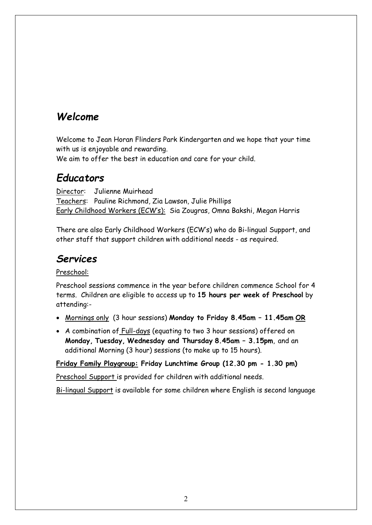# *Welcome*

Welcome to Jean Horan Flinders Park Kindergarten and we hope that your time with us is enjoyable and rewarding.

We aim to offer the best in education and care for your child.

## *Educators*

Director: Julienne Muirhead Teachers: Pauline Richmond, Zia Lawson, Julie Phillips Early Childhood Workers (ECW's): Sia Zougras, Omna Bakshi, Megan Harris

There are also Early Childhood Workers (ECW's) who do Bi-lingual Support, and other staff that support children with additional needs - as required.

# *Services*

Preschool:

Preschool sessions commence in the year before children commence School for 4 terms. Children are eligible to access up to **15 hours per week of Preschool** by attending:-

- Mornings only (3 hour sessions) **Monday to Friday 8.45am 11.45am OR**
- A combination of Full-days (equating to two 3 hour sessions) offered on **Monday, Tuesday, Wednesday and Thursday 8.45am – 3.15pm**, and an additional Morning (3 hour) sessions (to make up to 15 hours).

**Friday Family Playgroup: Friday Lunchtime Group (12.30 pm - 1.30 pm)** 

Preschool Support is provided for children with additional needs.

Bi-lingual Support is available for some children where English is second language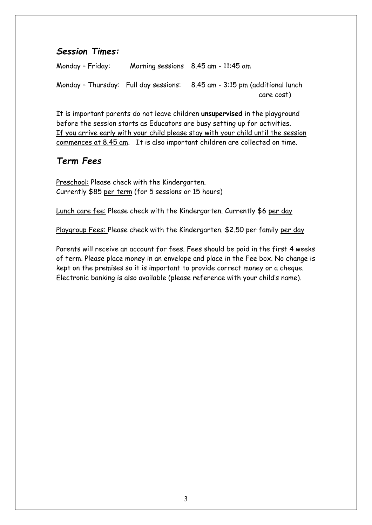#### *Session Times:*

Monday – Friday: Morning sessions 8.45 am - 11:45 am Monday – Thursday: Full day sessions: 8.45 am - 3:15 pm (additional lunch care cost)

It is important parents do not leave children **unsupervised** in the playground before the session starts as Educators are busy setting up for activities. If you arrive early with your child please stay with your child until the session commences at 8.45 am. It is also important children are collected on time.

#### *Term Fees*

Preschool: Please check with the Kindergarten. Currently \$85 per term (for 5 sessions or 15 hours)

Lunch care fee: Please check with the Kindergarten. Currently \$6 per day

Playgroup Fees: Please check with the Kindergarten. \$2.50 per family per day

Parents will receive an account for fees. Fees should be paid in the first 4 weeks of term. Please place money in an envelope and place in the Fee box. No change is kept on the premises so it is important to provide correct money or a cheque. Electronic banking is also available (please reference with your child's name).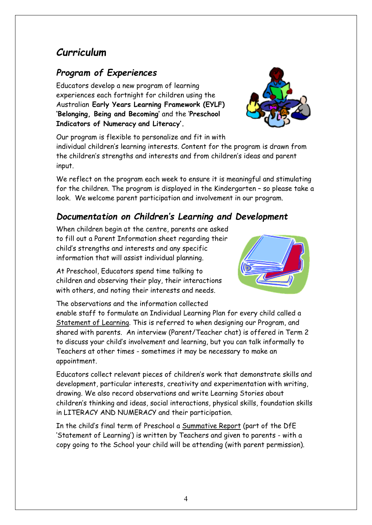4

# *Curriculum*

## *Program of Experiences*

Educators develop a new program of learning experiences each fortnight for children using the Australian **Early Years Learning Framework (EYLF) 'Belonging, Being and Becoming'** and the '**Preschool Indicators of Numeracy and Literacy'.** 

Our program is flexible to personalize and fit in with

individual children's learning interests. Content for the program is drawn from the children's strengths and interests and from children's ideas and parent input.

We reflect on the program each week to ensure it is meaningful and stimulating for the children. The program is displayed in the Kindergarten – so please take a look. We welcome parent participation and involvement in our program.

## *Documentation on Children's Learning and Development*

When children begin at the centre, parents are asked to fill out a Parent Information sheet regarding their child's strengths and interests and any specific information that will assist individual planning.

At Preschool, Educators spend time talking to children and observing their play, their interactions with others, and noting their interests and needs.

The observations and the information collected

enable staff to formulate an Individual Learning Plan for every child called a Statement of Learning. This is referred to when designing our Program, and shared with parents. An interview (Parent/Teacher chat) is offered in Term 2 to discuss your child's involvement and learning, but you can talk informally to Teachers at other times - sometimes it may be necessary to make an appointment.

Educators collect relevant pieces of children's work that demonstrate skills and development, particular interests, creativity and experimentation with writing, drawing. We also record observations and write Learning Stories about children's thinking and ideas, social interactions, physical skills, foundation skills in LITERACY AND NUMERACY and their participation.

In the child's final term of Preschool a Summative Report (part of the DfE 'Statement of Learning') is written by Teachers and given to parents - with a copy going to the School your child will be attending (with parent permission).



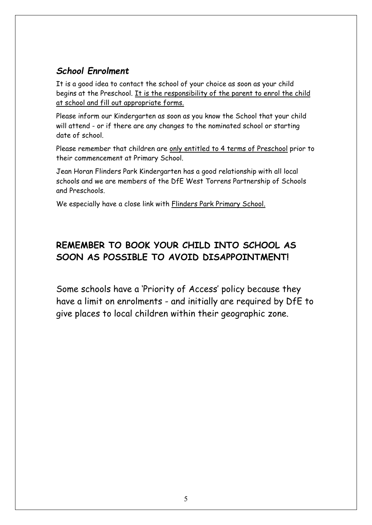## *School Enrolment*

It is a good idea to contact the school of your choice as soon as your child begins at the Preschool. It is the responsibility of the parent to enrol the child at school and fill out appropriate forms.

Please inform our Kindergarten as soon as you know the School that your child will attend - or if there are any changes to the nominated school or starting date of school.

Please remember that children are only entitled to 4 terms of Preschool prior to their commencement at Primary School.

Jean Horan Flinders Park Kindergarten has a good relationship with all local schools and we are members of the DfE West Torrens Partnership of Schools and Preschools.

We especially have a close link with Flinders Park Primary School.

## **REMEMBER TO BOOK YOUR CHILD INTO SCHOOL AS SOON AS POSSIBLE TO AVOID DISAPPOINTMENT!**

Some schools have a 'Priority of Access' policy because they have a limit on enrolments - and initially are required by DfE to give places to local children within their geographic zone.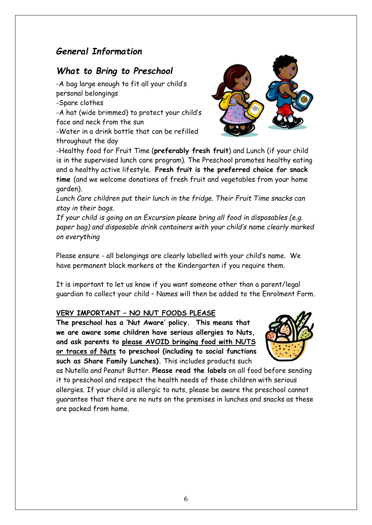#### *General Information*

#### *What to Bring to Preschool*

-A bag large enough to fit all your child's personal belongings -Spare clothes -A hat (wide brimmed) to protect your child's face and neck from the sun

-Water in a drink bottle that can be refilled throughout the day



-Healthy food for Fruit Time (**preferably fresh fruit**) and Lunch (if your child is in the supervised lunch care program). The Preschool promotes healthy eating and a healthy active lifestyle. **Fresh fruit is the preferred choice for snack time** (and we welcome donations of fresh fruit and vegetables from your home garden).

*Lunch Care children put their lunch in the fridge. Their Fruit Time snacks can stay in their bags.* 

*If your child is going on an Excursion please bring all food in disposables (e.g. paper bag) and disposable drink containers with your child's name clearly marked on everything*

Please ensure - all belongings are clearly labelled with your child's name. We have permanent black markers at the Kindergarten if you require them.

It is important to let us know if you want someone other than a parent/legal guardian to collect your child – Names will then be added to the Enrolment Form.

#### **VERY IMPORTANT – NO NUT FOODS PLEASE**

**The preschool has a 'Nut Aware' policy. This means that we are aware some children have serious allergies to Nuts, and ask parents to please AVOID bringing food with NUTS or traces of Nuts to preschool (including to social functions such as Share Family Lunches).** This includes products such



as Nutella and Peanut Butter. **Please read the labels** on all food before sending it to preschool and respect the health needs of those children with serious allergies. If your child is allergic to nuts, please be aware the preschool cannot guarantee that there are no nuts on the premises in lunches and snacks as these are packed from home.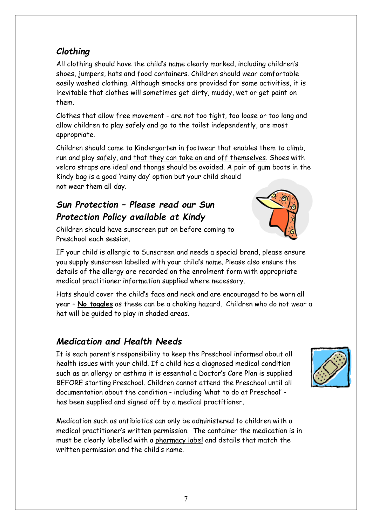## *Clothing*

All clothing should have the child's name clearly marked, including children's shoes, jumpers, hats and food containers. Children should wear comfortable easily washed clothing. Although smocks are provided for some activities, it is inevitable that clothes will sometimes get dirty, muddy, wet or get paint on them.

Clothes that allow free movement - are not too tight, too loose or too long and allow children to play safely and go to the toilet independently, are most appropriate.

Children should come to Kindergarten in footwear that enables them to climb, run and play safely, and that they can take on and off themselves. Shoes with velcro straps are ideal and thongs should be avoided. A pair of gum boots in the Kindy bag is a good 'rainy day' option but your child should not wear them all day.

## *Sun Protection – Please read our Sun Protection Policy available at Kindy*

Children should have sunscreen put on before coming to Preschool each session.

IF your child is allergic to Sunscreen and needs a special brand, please ensure you supply sunscreen labelled with your child's name. Please also ensure the details of the allergy are recorded on the enrolment form with appropriate medical practitioner information supplied where necessary.

Hats should cover the child's face and neck and are encouraged to be worn all year – **No toggles** as these can be a choking hazard. Children who do not wear a hat will be guided to play in shaded areas.

## *Medication and Health Needs*

It is each parent's responsibility to keep the Preschool informed about all health issues with your child. If a child has a diagnosed medical condition such as an allergy or asthma it is essential a Doctor's Care Plan is supplied BEFORE starting Preschool. Children cannot attend the Preschool until all documentation about the condition - including 'what to do at Preschool' has been supplied and signed off by a medical practitioner.

Medication such as antibiotics can only be administered to children with a medical practitioner's written permission. The container the medication is in must be clearly labelled with a pharmacy label and details that match the written permission and the child's name.



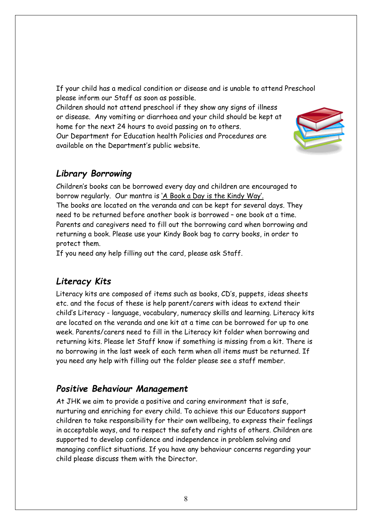If your child has a medical condition or disease and is unable to attend Preschool please inform our Staff as soon as possible.

Children should not attend preschool if they show any signs of illness or disease. Any vomiting or diarrhoea and your child should be kept at home for the next 24 hours to avoid passing on to others.

Our Department for Education health Policies and Procedures are available on the Department's public website.



#### *Library Borrowing*

Children's books can be borrowed every day and children are encouraged to borrow regularly. Our mantra is 'A Book a Day is the Kindy Way'. The books are located on the veranda and can be kept for several days. They need to be returned before another book is borrowed – one book at a time. Parents and caregivers need to fill out the borrowing card when borrowing and returning a book. Please use your Kindy Book bag to carry books, in order to protect them.

If you need any help filling out the card, please ask Staff.

#### *Literacy Kits*

Literacy kits are composed of items such as books, CD's, puppets, ideas sheets etc. and the focus of these is help parent/carers with ideas to extend their child's Literacy - language, vocabulary, numeracy skills and learning. Literacy kits are located on the veranda and one kit at a time can be borrowed for up to one week. Parents/carers need to fill in the Literacy kit folder when borrowing and returning kits. Please let Staff know if something is missing from a kit. There is no borrowing in the last week of each term when all items must be returned. If you need any help with filling out the folder please see a staff member.

#### *Positive Behaviour Management*

At JHK we aim to provide a positive and caring environment that is safe, nurturing and enriching for every child. To achieve this our Educators support children to take responsibility for their own wellbeing, to express their feelings in acceptable ways, and to respect the safety and rights of others. Children are supported to develop confidence and independence in problem solving and managing conflict situations. If you have any behaviour concerns regarding your child please discuss them with the Director.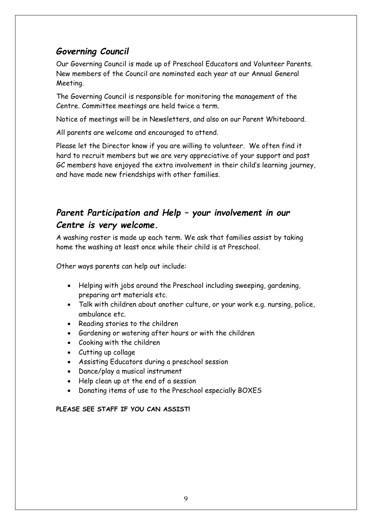#### *Governing Council*

Our Governing Council is made up of Preschool Educators and Volunteer Parents. New members of the Council are nominated each year at our Annual General Meeting.

The Governing Council is responsible for monitoring the management of the Centre. Committee meetings are held twice a term.

Notice of meetings will be in Newsletters, and also on our Parent Whiteboard.

All parents are welcome and encouraged to attend.

Please let the Director know if you are willing to volunteer. We often find it hard to recruit members but we are very appreciative of your support and past GC members have enjoyed the extra involvement in their child's learning journey, and have made new friendships with other families.

## *Parent Participation and Help – your involvement in our Centre is very welcome.*

A washing roster is made up each term. We ask that families assist by taking home the washing at least once while their child is at Preschool.

Other ways parents can help out include:

- Helping with jobs around the Preschool including sweeping, gardening, preparing art materials etc.
- Talk with children about another culture, or your work e.g. nursing, police, ambulance etc.
- Reading stories to the children
- Gardening or watering after hours or with the children
- Cooking with the children
- Cutting up collage
- Assisting Educators during a preschool session
- Dance/play a musical instrument
- Help clean up at the end of a session
- Donating items of use to the Preschool especially BOXES

#### **PLEASE SEE STAFF IF YOU CAN ASSIST!**